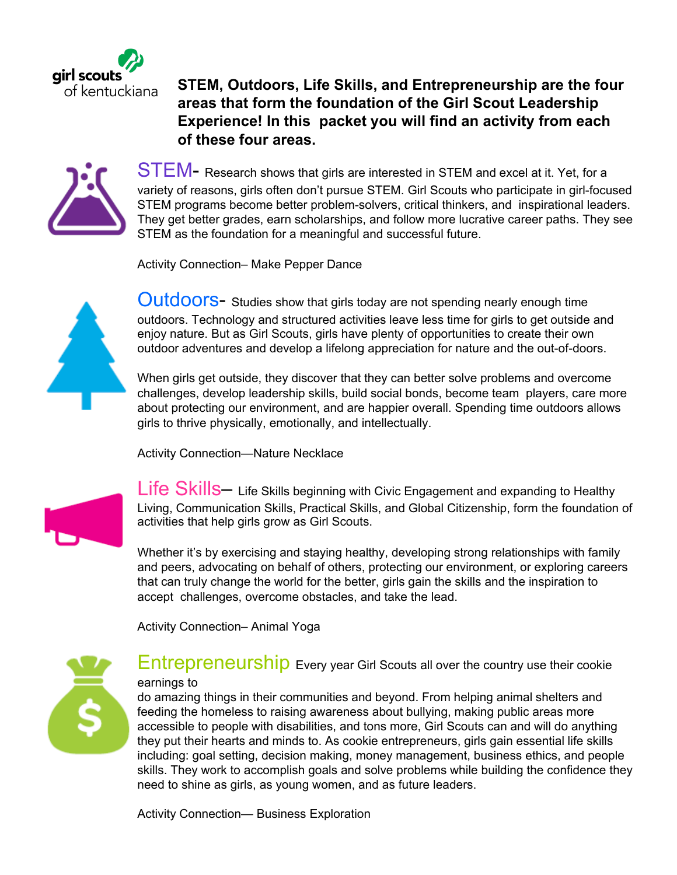

**STEM, Outdoors, Life Skills, and Entrepreneurship are the four areas that form the foundation of the Girl Scout Leadership Experience! In this packet you will find an activity from each of these four areas.** 



STEM- Research shows that girls are interested in STEM and excel at it. Yet, for a variety of reasons, girls often don't pursue STEM. Girl Scouts who participate in girl-focused STEM programs become better problem-solvers, critical thinkers, and inspirational leaders. They get better grades, earn scholarships, and follow more lucrative career paths. They see STEM as the foundation for a meaningful and successful future.

Activity Connection– Make Pepper Dance



Outdoors- Studies show that girls today are not spending nearly enough time outdoors. Technology and structured activities leave less time for girls to get outside and enjoy nature. But as Girl Scouts, girls have plenty of opportunities to create their own outdoor adventures and develop a lifelong appreciation for nature and the out-of-doors.

When girls get outside, they discover that they can better solve problems and overcome challenges, develop leadership skills, build social bonds, become team players, care more about protecting our environment, and are happier overall. Spending time outdoors allows girls to thrive physically, emotionally, and intellectually.

Activity Connection—Nature Necklace



Life Skills– Life Skills beginning with Civic Engagement and expanding to Healthy Living, Communication Skills, Practical Skills, and Global Citizenship, form the foundation of activities that help girls grow as Girl Scouts.

Whether it's by exercising and staying healthy, developing strong relationships with family and peers, advocating on behalf of others, protecting our environment, or exploring careers that can truly change the world for the better, girls gain the skills and the inspiration to accept challenges, overcome obstacles, and take the lead.

Activity Connection– Animal Yoga



**Entrepreneurship** Every year Girl Scouts all over the country use their cookie earnings to

do amazing things in their communities and beyond. From helping animal shelters and feeding the homeless to raising awareness about bullying, making public areas more accessible to people with disabilities, and tons more, Girl Scouts can and will do anything they put their hearts and minds to. As cookie entrepreneurs, girls gain essential life skills including: goal setting, decision making, money management, business ethics, and people skills. They work to accomplish goals and solve problems while building the confidence they need to shine as girls, as young women, and as future leaders.

Activity Connection— Business Exploration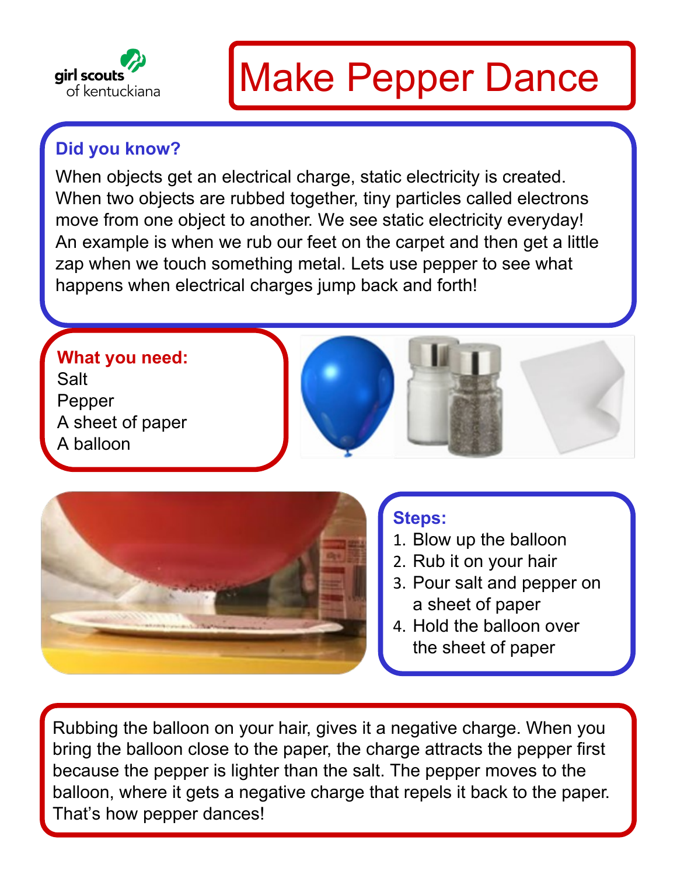

# Make Pepper Dance

## **Did you know?**

When objects get an electrical charge, static electricity is created. When two objects are rubbed together, tiny particles called electrons move from one object to another. We see static electricity everyday! An example is when we rub our feet on the carpet and then get a little zap when we touch something metal. Lets use pepper to see what happens when electrical charges jump back and forth!

### **What you need:**

Salt Pepper A sheet of paper A balloon





### **Steps:**

- 1. Blow up the balloon
- 2. Rub it on your hair
- 3. Pour salt and pepper on a sheet of paper
- 4. Hold the balloon over the sheet of paper

Rubbing the balloon on your hair, gives it a negative charge. When you bring the balloon close to the paper, the charge attracts the pepper first because the pepper is lighter than the salt. The pepper moves to the balloon, where it gets a negative charge that repels it back to the paper. That's how pepper dances!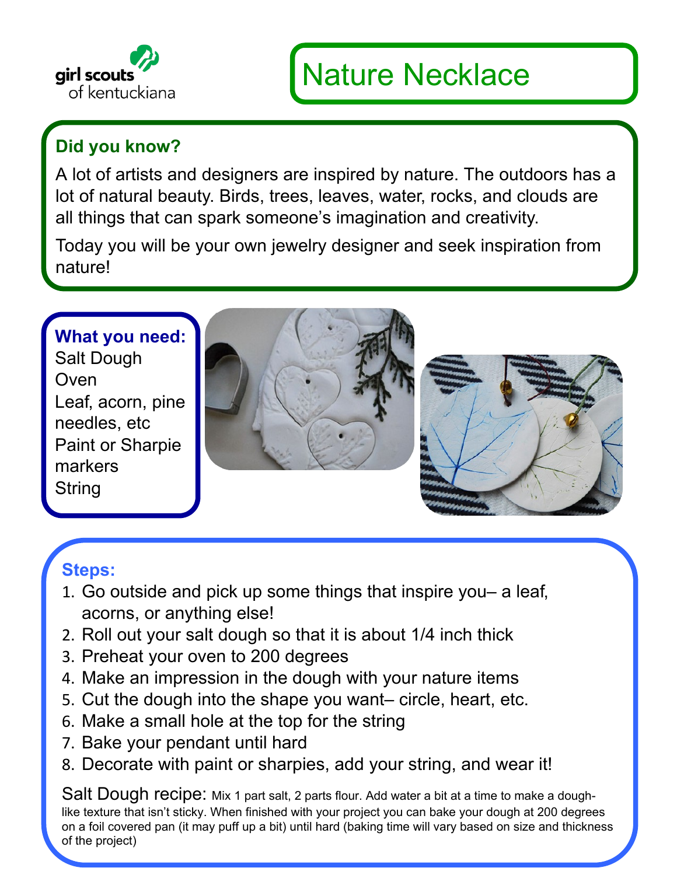

# Nature Necklace

### **Did you know?**

A lot of artists and designers are inspired by nature. The outdoors has a lot of natural beauty. Birds, trees, leaves, water, rocks, and clouds are all things that can spark someone's imagination and creativity.

Today you will be your own jewelry designer and seek inspiration from nature!

#### **What you need:** Salt Dough

**Oven** Leaf, acorn, pine needles, etc Paint or Sharpie markers **String** 





### **Steps:**

- 1. Go outside and pick up some things that inspire you– a leaf, acorns, or anything else!
- 2. Roll out your salt dough so that it is about 1/4 inch thick
- 3. Preheat your oven to 200 degrees
- 4. Make an impression in the dough with your nature items
- 5. Cut the dough into the shape you want– circle, heart, etc.
- 6. Make a small hole at the top for the string
- 7. Bake your pendant until hard
- 8. Decorate with paint or sharpies, add your string, and wear it!

Salt Dough recipe: Mix 1 part salt, 2 parts flour. Add water a bit at a time to make a doughlike texture that isn't sticky. When finished with your project you can bake your dough at 200 degrees on a foil covered pan (it may puff up a bit) until hard (baking time will vary based on size and thickness of the project)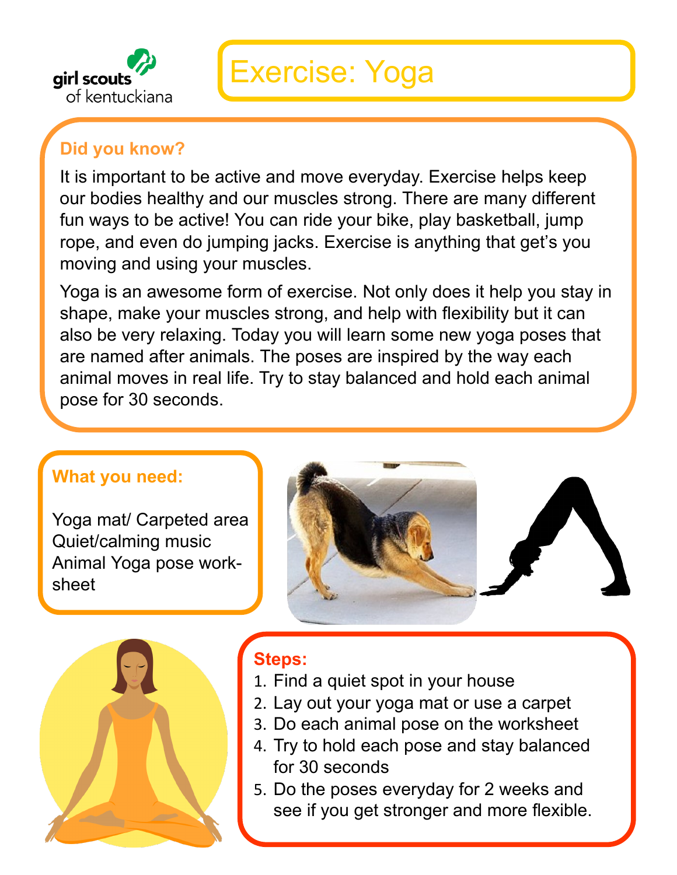

## Exercise: Yoga

### **Did you know?**

It is important to be active and move everyday. Exercise helps keep our bodies healthy and our muscles strong. There are many different fun ways to be active! You can ride your bike, play basketball, jump rope, and even do jumping jacks. Exercise is anything that get's you moving and using your muscles.

Yoga is an awesome form of exercise. Not only does it help you stay in shape, make your muscles strong, and help with flexibility but it can also be very relaxing. Today you will learn some new yoga poses that are named after animals. The poses are inspired by the way each animal moves in real life. Try to stay balanced and hold each animal pose for 30 seconds.

#### **What you need:**

Yoga mat/ Carpeted area Quiet/calming music Animal Yoga pose worksheet





### **Steps:**

- 1. Find a quiet spot in your house
- 2. Lay out your yoga mat or use a carpet
- 3. Do each animal pose on the worksheet
- 4. Try to hold each pose and stay balanced for 30 seconds
- 5. Do the poses everyday for 2 weeks and see if you get stronger and more flexible.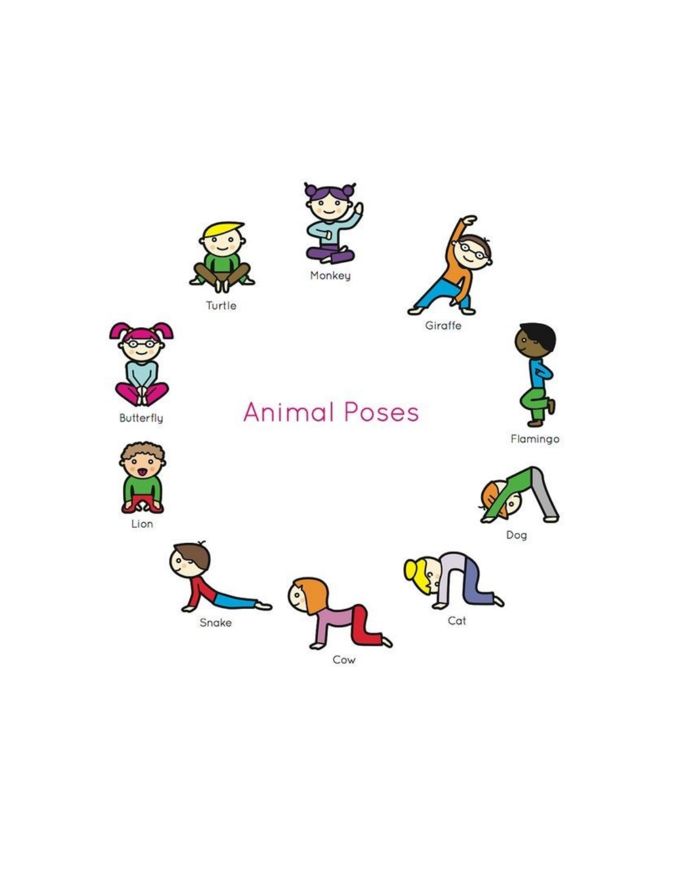